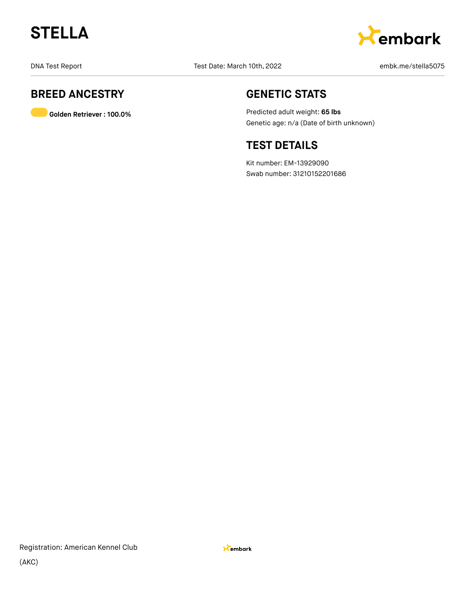



### **BREED ANCESTRY**

**Golden Retriever : 100.0%**

### **GENETIC STATS**

Predicted adult weight: **65 lbs** Genetic age: n/a (Date of birth unknown)

### **TEST DETAILS**

Kit number: EM-13929090 Swab number: 31210152201686

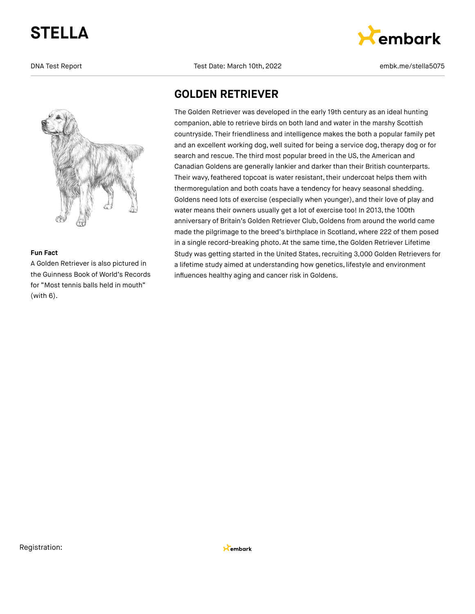

### **Fun Fact**

A Golden Retriever is also pictured in the Guinness Book of World's Records for "Most tennis balls held in mouth" (with 6).

DNA Test Report Test Date: March 10th, 2022 and the market Report of the Stellas Proport of Test Date: March 10th, 2022



### **GOLDEN RETRIEVER**

The Golden Retriever was developed in the early 19th century as an ideal hunting companion, able to retrieve birds on both land and water in the marshy Scottish countryside. Their friendliness and intelligence makes the both a popular family pet and an excellent working dog, well suited for being a service dog, therapy dog or for search and rescue. The third most popular breed in the US, the American and Canadian Goldens are generally lankier and darker than their British counterparts. Their wavy, feathered topcoat is water resistant, their undercoat helps them with thermoregulation and both coats have a tendency for heavy seasonal shedding. Goldens need lots of exercise (especially when younger), and their love of play and water means their owners usually get a lot of exercise too! In 2013, the 100th anniversary of Britain's Golden Retriever Club, Goldens from around the world came made the pilgrimage to the breed's birthplace in Scotland, where 222 of them posed in a single record-breaking photo. At the same time, the Golden Retriever Lifetime Study was getting started in the United States, recruiting 3,000 Golden Retrievers for a lifetime study aimed at understanding how genetics, lifestyle and environment influences healthy aging and cancer risk in Goldens.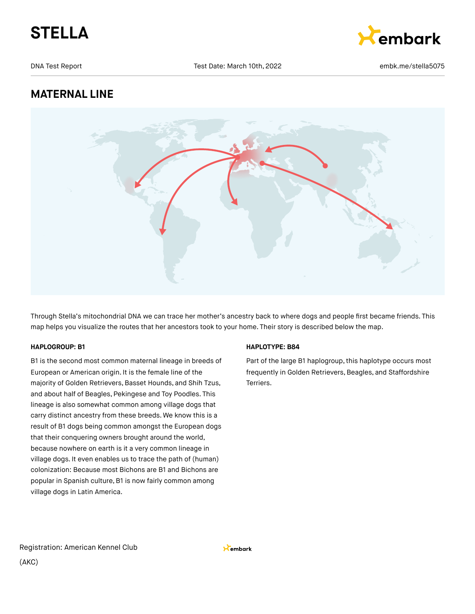



DNA Test Report Test Date: March 10th, 2022 and the market Report of the Stellas D75

### **MATERNAL LINE**



Through Stella's mitochondrial DNA we can trace her mother's ancestry back to where dogs and people first became friends. This map helps you visualize the routes that her ancestors took to your home. Their story is described below the map.

### **HAPLOGROUP: B1**

B1 is the second most common maternal lineage in breeds of European or American origin. It is the female line of the majority of Golden Retrievers, Basset Hounds, and Shih Tzus, and about half of Beagles, Pekingese and Toy Poodles. This lineage is also somewhat common among village dogs that carry distinct ancestry from these breeds. We know this is a result of B1 dogs being common amongst the European dogs that their conquering owners brought around the world, because nowhere on earth is it a very common lineage in village dogs. It even enables us to trace the path of (human) colonization: Because most Bichons are B1 and Bichons are popular in Spanish culture, B1 is now fairly common among village dogs in Latin America.

### **HAPLOTYPE: B84**

Part of the large B1 haplogroup, this haplotype occurs most frequently in Golden Retrievers, Beagles, and Staffordshire Terriers.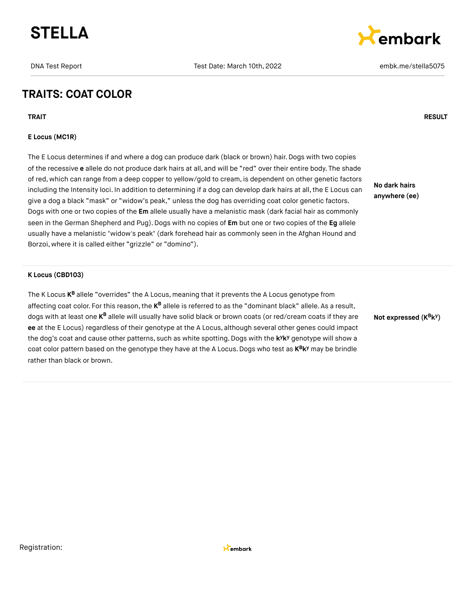



### **TRAITS: COAT COLOR**

**TRAIT RESULT**

### **E Locus (MC1R)**

The E Locus determines if and where a dog can produce dark (black or brown) hair. Dogs with two copies of the recessive **e** allele do not produce dark hairs at all, and will be "red" over their entire body. The shade of red, which can range from a deep copper to yellow/gold to cream, is dependent on other genetic factors including the Intensity loci. In addition to determining if a dog can develop dark hairs at all, the E Locus can give a dog a black "mask" or "widow's peak," unless the dog has overriding coat color genetic factors. Dogs with one or two copies of the **Em** allele usually have a melanistic mask (dark facial hair as commonly seen in the German Shepherd and Pug).Dogs with no copies of **Em** but one or two copies of the **Eg** allele usually have a melanistic "widow's peak" (dark forehead hair as commonly seen in the Afghan Hound and Borzoi, where it is called either "grizzle" or "domino").

**No dark hairs anywhere (ee)**

#### **K Locus (CBD103)**

The K Locus **K<sup>B</sup>** allele "overrides" the A Locus, meaning that it prevents the A Locus genotype from affecting coat color. For this reason, the **K<sup>B</sup> allele is referred to as the "dominant** black" allele. As a result, dogs with at least one **K<sup>B</sup> allele will usually have solid black** or brown coats (or red/cream coats if they are **ee** at the E Locus) regardless of their genotype at the A Locus, although several other genes could impact the dog's coat and cause other patterns, such as white spotting. Dogs with the k<sup>y</sup>k<sup>y</sup> genotype will show a coat color pattern based on the genotype they have at the A Locus. Dogs who test as  $K^B K^y$  may be brindle rather than black or brown.

**Not expressed** (K<sup>B</sup>k<sup>y</sup>)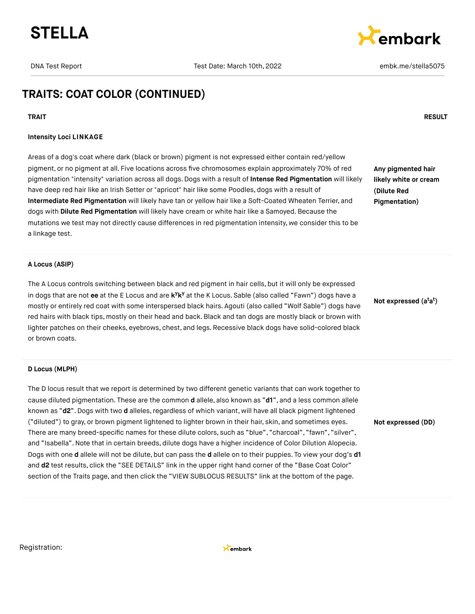



### **TRAITS: COAT COLOR (CONTINUED)**

#### **Intensity Loci LINKAGE**

Areas of a dog's coat where dark (black or brown) pigment is not expressed either contain red/yellow pigment, or no pigment at all. Five locations across five chromosomes explain approximately 70% of red pigmentation "intensity" variation across all dogs. Dogs with a result of **Intense Red Pigmentation** will likely have deep red hair like an Irish Setter or "apricot" hair like some Poodles, dogs with a result of **Intermediate Red Pigmentation** will likely have tan or yellow hair like a Soft-Coated Wheaten Terrier, and dogs with **Dilute Red Pigmentation** will likely have cream or white hair like a Samoyed. Because the mutations we test may not directly cause differences in red pigmentation intensity, we consider this to be a linkage test.

**Any pigmented hair likely white or cream (Dilute Red Pigmentation)**

#### **A Locus (ASIP)**

The A Locus controls switching between black and red pigment in hair cells, but it will only be expressed in dogs that are not ee at the E Locus and are k<sup>y</sup>k<sup>y</sup> at the K Locus. Sable (also called "Fawn") dogs have a mostly or entirely red coat with some interspersed black hairs. Agouti (also called "Wolf Sable") dogs have red hairs with black tips, mostly on their head and back.Black and tan dogs are mostly black or brown with lighter patches on their cheeks, eyebrows, chest, and legs. Recessive black dogs have solid-colored black or brown coats.

#### **D Locus (MLPH)**

The D locus result that we report is determined by two different genetic variants that can work together to cause diluted pigmentation. These are the common **d** allele, also known as "**d1**", and a less common allele known as "d2". Dogs with two d alleles, regardless of which variant, will have all black pigment lightened ("diluted") to gray, or brown pigment lightened to lighter brown in their hair, skin, and sometimes eyes. There are many breed-specific names for these dilute colors, such as "blue", "charcoal", "fawn", "silver", and "Isabella".Note that in certain breeds, dilute dogs have a higher incidence of Color Dilution Alopecia. Dogs with one **d** allele will not be dilute, but can pass the **d** allele on to their puppies. To view your dog's **d1** and **d2** test results, click the "SEE DETAILS" link in the upper right hand corner of the "Base Coat Color" section of the Traits page, and then click the "VIEW SUBLOCUS RESULTS" link at the bottom of the page.

**Not expressed (a a ) t t**

**Not expressed (DD)**

Registration:



#### **TRAIT RESULT**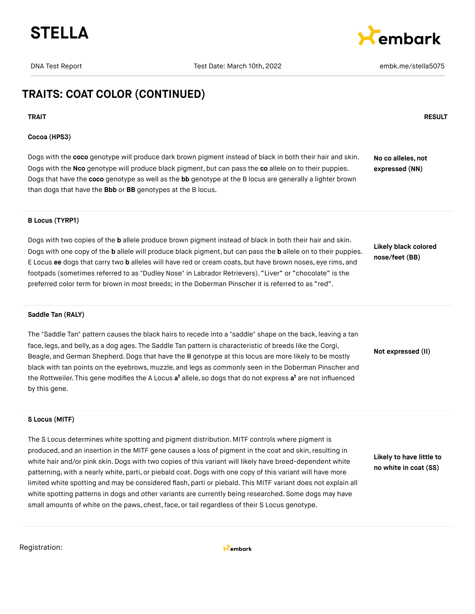



### **TRAITS: COAT COLOR (CONTINUED)**

#### **TRAIT RESULT**

### **Cocoa (HPS3)**

Dogs with the **coco** genotype will produce dark brown pigment instead of black in both their hair and skin. Dogs with the **Nco** genotype will produce black pigment, but can pass the **co** allele on to their puppies. Dogs that have the **coco** genotype as well as the **bb** genotype at the B locus are generally a lighter brown than dogs that have the **Bbb** or **BB** genotypes at the B locus. **No co alleles, not expressed (NN)**

### **B Locus (TYRP1)**

Dogs with two copies of the **b** allele produce brown pigment instead of black in both their hair and skin. Dogs with one copy of the **b** allele will produce black pigment, but can pass the **b** allele on to their puppies. E Locus **ee** dogs that carry two **b** alleles will have red or cream coats, but have brown noses, eye rims, and footpads (sometimes referred to as "Dudley Nose" in Labrador Retrievers). "Liver" or "chocolate" is the preferred color term for brown in most breeds; in the Doberman Pinscher it is referred to as "red".

**Likely black colored nose/feet (BB)**

**Not expressed (II)**

#### **Saddle Tan (RALY)**

The "Saddle Tan" pattern causes the black hairs to recede into a "saddle" shape on the back, leaving a tan face, legs, and belly, as a dog ages. The Saddle Tan pattern is characteristic of breeds like the Corgi, Beagle, and German Shepherd.Dogs that have the **II** genotype at this locus are more likely to be mostly black with tan points on the eyebrows, muzzle, and legs as commonly seen in the Doberman Pinscher and the Rottweiler. This gene modifies the A Locus **a<sup>t</sup>** allele, so dogs that do not express **a<sup>t</sup>** are not influenced by this gene.

## **S Locus (MITF)**

The S Locus determines white spotting and pigment distribution. MITF controls where pigment is produced, and an insertion in the MITF gene causes a loss of pigment in the coat and skin, resulting in white hair and/or pink skin. Dogs with two copies of this variant will likely have breed-dependent white patterning, with a nearly white, parti, or piebald coat. Dogs with one copy of this variant will have more limited white spotting and may be considered flash, parti or piebald. This MITF variant does not explain all white spotting patterns in dogs and other variants are currently being researched. Some dogs may have small amounts of white on the paws, chest, face, or tail regardless of their S Locus genotype.

**Likely to have little to no white in coat (SS)**

Registration:

Kembark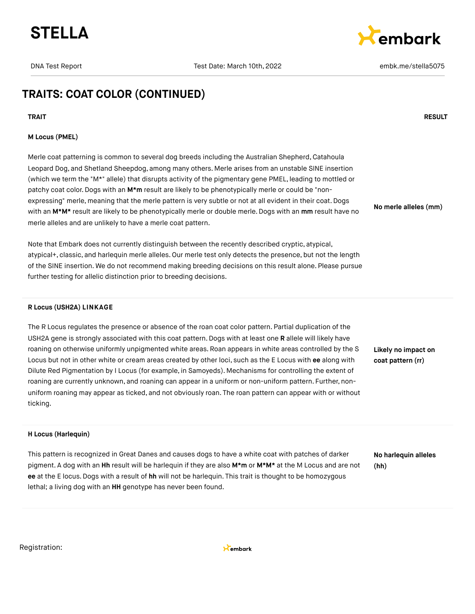



**No merle alleles (mm)**

### **TRAITS: COAT COLOR (CONTINUED)**

#### **TRAIT RESULT**

### **M Locus (PMEL)**

Merle coat patterning is common to several dog breeds including the Australian Shepherd, Catahoula Leopard Dog, and Shetland Sheepdog, among many others. Merle arises from an unstable SINE insertion (which we term the "M\*" allele) that disrupts activity of the pigmentary gene PMEL, leading to mottled or patchy coat color. Dogs with an M<sup>\*</sup>m result are likely to be phenotypically merle or could be "nonexpressing" merle, meaning that the merle pattern is very subtle or not at all evident in their coat. Dogs with an **M\*M\*** result are likely to be phenotypically merle or double merle. Dogs with an **mm** result have no merle alleles and are unlikely to have a merle coat pattern.

Note that Embark does not currently distinguish between the recently described cryptic, atypical, atypical+, classic, and harlequin merle alleles. Our merle test only detects the presence, but not the length of the SINE insertion. We do not recommend making breeding decisions on this result alone. Please pursue further testing for allelic distinction prior to breeding decisions.

#### **R Locus (USH2A) LINKAGE**

The R Locus regulates the presence or absence of the roan coat color pattern. Partial duplication of the USH2A gene is strongly associated with this coat pattern. Dogs with at least one **R** allele will likely have roaning on otherwise uniformly unpigmented white areas. Roan appears in white areas controlled by the S Locus but not in other white or cream areas created by other loci, such as the E Locus with **ee** along with Dilute Red Pigmentation by I Locus (for example, in Samoyeds). Mechanisms for controlling the extent of roaning are currently unknown, and roaning can appear in a uniform or non-uniform pattern. Further, nonuniform roaning may appear as ticked, and not obviously roan. The roan pattern can appear with or without ticking.

**Likely no impact on coat pattern (rr)**

### **H Locus (Harlequin)**

This pattern is recognized in Great Danes and causes dogs to have a white coat with patches of darker pigment. A dog with an **Hh** result will be harlequin if they are also **M\*m** or **M\*M\*** at the M Locus and are not **ee** at the E locus.Dogs with a result of **hh** will not be harlequin. This trait is thought to be homozygous lethal; a living dog with an **HH** genotype has never been found.

**No harlequin alleles (hh)**

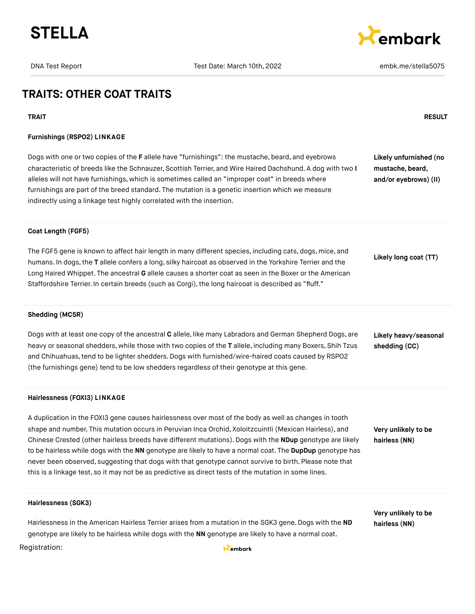



### **TRAITS: OTHER COAT TRAITS**

### **TRAIT RESULT Furnishings (RSPO2) LINKAGE** Dogs with one or two copies of the **F** allele have "furnishings": the mustache, beard, and eyebrows characteristic of breeds like the Schnauzer, Scottish Terrier, and Wire Haired Dachshund. A dog with two **I** alleles will not have furnishings, which is sometimes called an "improper coat" in breeds where furnishings are part of the breed standard. The mutation is a genetic insertion which we measure indirectly using a linkage test highly correlated with the insertion. **Likely unfurnished (no mustache, beard, and/or eyebrows) (II) Coat Length (FGF5)** The FGF5 gene is known to affect hair length in many different species, including cats, dogs, mice, and humans. In dogs,the **T** allele confers a long, silky haircoat as observed in the Yorkshire Terrier and the Long Haired Whippet. The ancestral **G** allele causes a shorter coat as seen in the Boxer or the American Staffordshire Terrier. In certain breeds (such as Corgi), the long haircoat is described as "fluff." **Likely long coat (TT) Shedding (MC5R)** Dogs with at least one copy of the ancestral **C** allele, like many Labradors and German Shepherd Dogs, are heavy or seasonal shedders, while those with two copies of the **T** allele, including many Boxers, Shih Tzus and Chihuahuas,tend to be lighter shedders.Dogs with furnished/wire-haired coats caused by RSPO2 (the furnishings gene) tend to be low shedders regardless of their genotype at this gene. **Likely heavy/seasonal shedding (CC) Hairlessness (FOXI3) LINKAGE** A duplication in the FOXI3 gene causes hairlessness over most of the body as well as changes in tooth

shape and number. This mutation occurs in Peruvian Inca Orchid, Xoloitzcuintli (Mexican Hairless), and Chinese Crested (other hairless breeds have different mutations). Dogs with the **NDup** genotype are likely to be hairless while dogs with the **NN** genotype are likely to have a normal coat. The **DupDup** genotype has never been observed, suggesting that dogs with that genotype cannot survive to birth. Please note that this is a linkage test, so it may not be as predictive as direct tests of the mutation in some lines.

**Very unlikely to be hairless (NN)**

**Very unlikely to be hairless (NN)**

### **Hairlessness (SGK3)**

Hairlessness in the American Hairless Terrier arises from a mutation in the SGK3 gene. Dogs with the **ND** genotype are likely to be hairless while dogs with the **NN** genotype are likely to have a normal coat.

#### Registration:

Kembark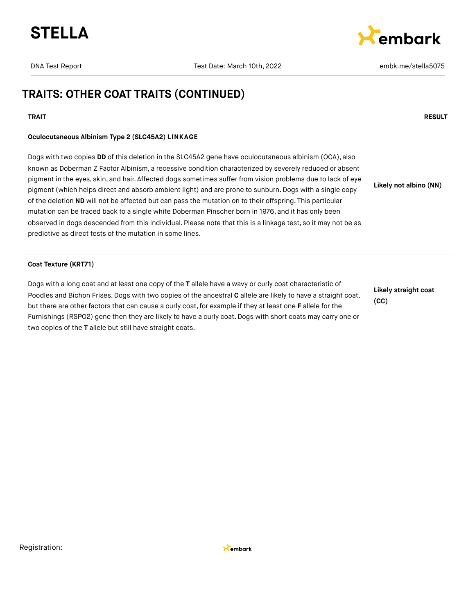



### **TRAITS: OTHER COAT TRAITS (CONTINUED)**

### **TRAIT RESULT**

### **Oculocutaneous Albinism Type 2 (SLC45A2) LINKAGE**

Dogs with two copies **DD** of this deletion in the SLC45A2 gene have oculocutaneous albinism (OCA), also known as Doberman Z Factor Albinism, a recessive condition characterized by severely reduced or absent pigment in the eyes, skin, and hair. Affected dogs sometimes suffer from vision problems due to lack of eye pigment (which helps direct and absorb ambient light) and are prone to sunburn. Dogs with a single copy of the deletion **ND** will not be affected but can pass the mutation on to their offspring. This particular mutation can be traced back to a single white Doberman Pinscher born in 1976, and it has only been observed in dogs descended from this individual. Please note that this is a linkage test, so it may not be as predictive as direct tests of the mutation in some lines. **Likely not albino (NN)**

#### **Coat Texture (KRT71)**

Dogs with a long coat and at least one copy of the **T** allele have a wavy or curly coat characteristic of Poodles and Bichon Frises. Dogs with two copies of the ancestral **C** allele are likely to have a straight coat, but there are other factors that can cause a curly coat,for example if they at least one **F** allele for the Furnishings (RSPO2) gene then they are likely to have a curly coat. Dogs with short coats may carry one or two copies of the **T** allele but still have straight coats.

**Likely straight coat (CC)**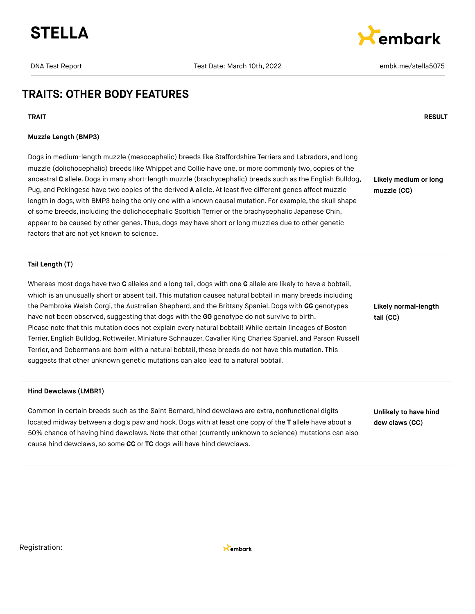



### **TRAITS: OTHER BODY FEATURES**

**TRAIT RESULT**

#### **Muzzle Length (BMP3)**

Dogs in medium-length muzzle (mesocephalic) breeds like Staffordshire Terriers and Labradors, and long muzzle (dolichocephalic) breeds like Whippet and Collie have one, or more commonly two, copies of the ancestral **C** allele.Dogs in many short-length muzzle (brachycephalic) breeds such as the English Bulldog, Pug, and Pekingese have two copies of the derived **A** allele. At least five different genes affect muzzle length in dogs, with BMP3 being the only one with a known causal mutation. For example, the skull shape of some breeds, including the dolichocephalic Scottish Terrier or the brachycephalic Japanese Chin, appear to be caused by other genes. Thus, dogs may have short or long muzzles due to other genetic factors that are not yet known to science.

**Likely medium or long muzzle (CC)**

**Tail Length (T)**

Whereas most dogs have two **C** alleles and a long tail, dogs with one **G** allele are likely to have a bobtail, which is an unusually short or absent tail. This mutation causes natural bobtail in many breeds including the Pembroke Welsh Corgi, the Australian Shepherd, and the Brittany Spaniel. Dogs with GG genotypes have not been observed, suggesting that dogs with the **GG** genotype do not survive to birth. Please note that this mutation does not explain every natural bobtail! While certain lineages of Boston Terrier, English Bulldog,Rottweiler, Miniature Schnauzer, Cavalier King Charles Spaniel, and Parson Russell Terrier, and Dobermans are born with a natural bobtail, these breeds do not have this mutation. This suggests that other unknown genetic mutations can also lead to a natural bobtail.

#### **Hind Dewclaws (LMBR1)**

Common in certain breeds such as the Saint Bernard, hind dewclaws are extra, nonfunctional digits located midway between a dog's paw and hock. Dogs with at least one copy of the **T** allele have about a 50% chance of having hind dewclaws.Note that other (currently unknown to science) mutations can also cause hind dewclaws, so some **CC** or **TC** dogs will have hind dewclaws.

**Likely normal-length tail (CC)**

**Unlikely to have hind dew claws (CC)**

Registration:

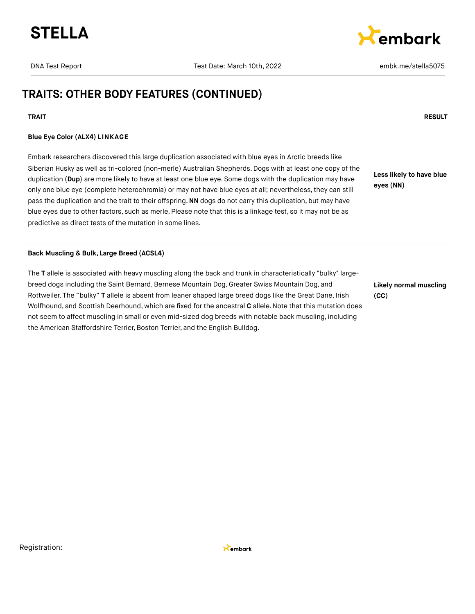



### **TRAITS: OTHER BODY FEATURES (CONTINUED)**

### **TRAIT RESULT**

### **Blue Eye Color (ALX4) LINKAGE**

Embark researchers discovered this large duplication associated with blue eyes in Arctic breeds like Siberian Husky as well as tri-colored (non-merle) Australian Shepherds. Dogs with at least one copy of the duplication (**Dup**) are more likely to have at least one blue eye. Some dogs with the duplication may have only one blue eye (complete heterochromia) or may not have blue eyes at all; nevertheless,they can still pass the duplication and the trait to their offspring.**NN** dogs do not carry this duplication, but may have blue eyes due to other factors, such as merle. Please note that this is a linkage test, so it may not be as predictive as direct tests of the mutation in some lines.

**Less likely to have blue eyes (NN)**

#### **Back Muscling & Bulk, Large Breed (ACSL4)**

The **T** allele is associated with heavy muscling along the back and trunk in characteristically "bulky" largebreed dogs including the Saint Bernard, Bernese Mountain Dog, Greater Swiss Mountain Dog, and Rottweiler. The "bulky" **T** allele is absent from leaner shaped large breed dogs like the Great Dane, Irish Wolfhound, and Scottish Deerhound, which are fixed for the ancestral **C** allele.Note that this mutation does not seem to affect muscling in small or even mid-sized dog breeds with notable back muscling, including the American Staffordshire Terrier, Boston Terrier, and the English Bulldog.

**Likely normal muscling (CC)**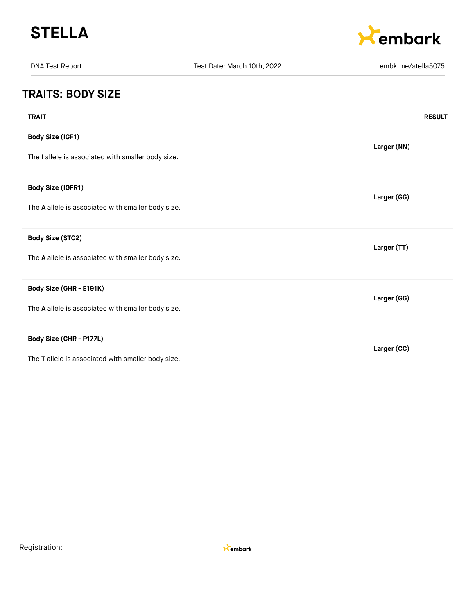



| <b>DNA Test Report</b>                                                        | Test Date: March 10th, 2022 | embk.me/stella5075 |
|-------------------------------------------------------------------------------|-----------------------------|--------------------|
| <b>TRAITS: BODY SIZE</b>                                                      |                             |                    |
| <b>TRAIT</b>                                                                  |                             | <b>RESULT</b>      |
| Body Size (IGF1)<br>The I allele is associated with smaller body size.        |                             | Larger (NN)        |
| Body Size (IGFR1)<br>The A allele is associated with smaller body size.       |                             | Larger (GG)        |
| Body Size (STC2)<br>The A allele is associated with smaller body size.        |                             | Larger (TT)        |
| Body Size (GHR - E191K)<br>The A allele is associated with smaller body size. |                             | Larger (GG)        |
| Body Size (GHR - P177L)<br>The T allele is associated with smaller body size. |                             | Larger (CC)        |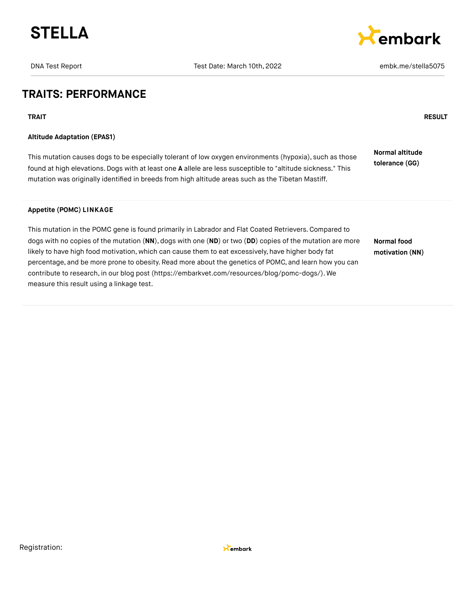

DNA Test Report Test Date: March 10th, 2022 and the market Report of the Stellas D75



### **TRAITS: PERFORMANCE**

**TRAIT RESULT**

### **Altitude Adaptation (EPAS1)**

This mutation causes dogs to be especially tolerant of low oxygen environments (hypoxia), such as those found at high elevations.Dogs with at least one **A** allele are less susceptible to "altitude sickness." This mutation was originally identified in breeds from high altitude areas such as the Tibetan Mastiff. **Normal altitude tolerance (GG)**

### **Appetite (POMC) LINKAGE**

This mutation in the POMC gene is found primarily in Labrador and Flat Coated Retrievers.Compared to dogs with no copies of the mutation (**NN**), dogs with one (**ND**) or two (**DD**) copies of the mutation are more likely to have high food motivation, which can cause them to eat excessively, have higher body fat percentage, and be more prone to obesity. Read more about the genetics of POMC, and learn how you can contribute to research, in our blog post [\(https://embarkvet.com/resources/blog/pomc-dogs/\).](https://embarkvet.com/resources/blog/pomc-dogs/) We measure this result using a linkage test. **Normal food motivation (NN)**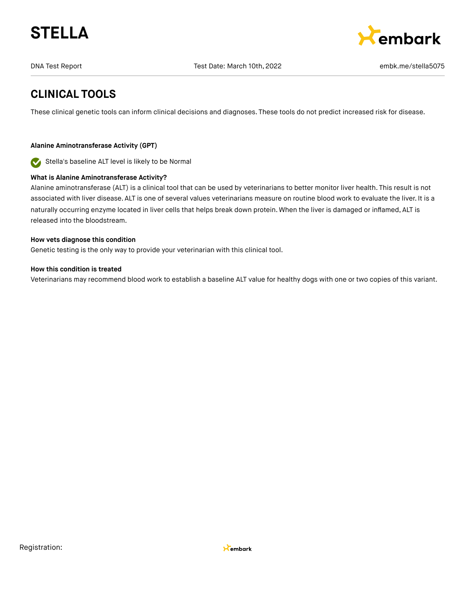



### **CLINICAL TOOLS**

These clinical genetic tools can inform clinical decisions and diagnoses. These tools do not predict increased risk for disease.

### **Alanine Aminotransferase Activity (GPT)**

Stella's baseline ALT level is likely to be Normal

### **What is Alanine Aminotransferase Activity?**

Alanine aminotransferase (ALT) is a clinical tool that can be used by veterinarians to better monitor liver health. This result is not associated with liver disease. ALT is one of several values veterinarians measure on routine blood work to evaluate the liver. It is a naturally occurring enzyme located in liver cells that helps break down protein. When the liver is damaged or inflamed, ALT is released into the bloodstream.

#### **How vets diagnose this condition**

Genetic testing is the only way to provide your veterinarian with this clinical tool.

### **How this condition is treated**

Veterinarians may recommend blood work to establish a baseline ALT value for healthy dogs with one or two copies of this variant.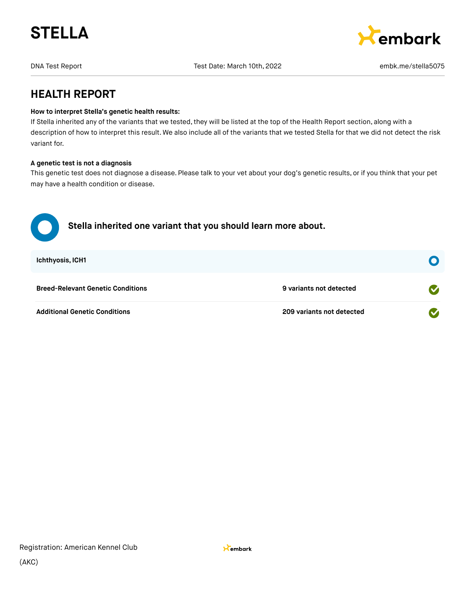



### **HEALTH REPORT**

### **How to interpret Stella's genetic health results:**

If Stella inherited any of the variants that we tested, they will be listed at the top of the Health Report section, along with a description of how to interpret this result. We also include all of the variants that we tested Stella for that we did not detect the risk variant for.

### **A genetic test is not a diagnosis**

This genetic test does not diagnose a disease. Please talk to your vet about your dog's genetic results, or if you think that your pet may have a health condition or disease.

| Stella inherited one variant that you should learn more about. |                           |                      |
|----------------------------------------------------------------|---------------------------|----------------------|
| <b>Ichthyosis, ICH1</b>                                        |                           |                      |
| <b>Breed-Relevant Genetic Conditions</b>                       | 9 variants not detected   | $\blacktriangledown$ |
| <b>Additional Genetic Conditions</b>                           | 209 variants not detected |                      |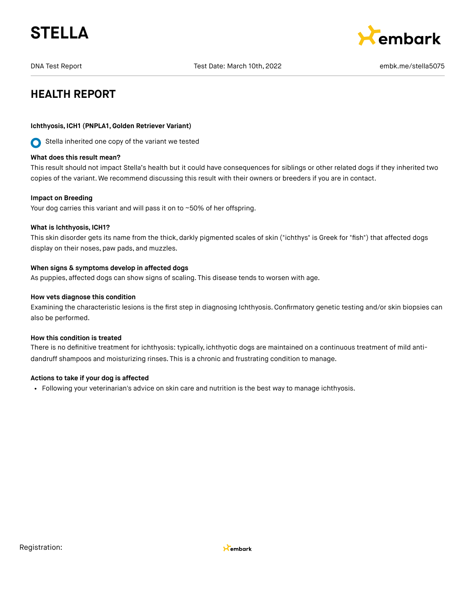



### **HEALTH REPORT**

### **Ichthyosis, ICH1 (PNPLA1,Golden Retriever Variant)**

Stella inherited one copy of the variant we tested

#### **What does this result mean?**

This result should not impact Stella's health but it could have consequences for siblings or other related dogs if they inherited two copies of the variant. We recommend discussing this result with their owners or breeders if you are in contact.

#### **Impact on Breeding**

Your dog carries this variant and will pass it on to ~50% of her offspring.

#### **What is Ichthyosis, ICH1?**

This skin disorder gets its name from the thick, darkly pigmented scales of skin ("ichthys" is Greek for "fish") that affected dogs display on their noses, paw pads, and muzzles.

#### **When signs & symptoms develop in affected dogs**

As puppies, affected dogs can show signs of scaling. This disease tends to worsen with age.

#### **How vets diagnose this condition**

Examining the characteristic lesions is the first step in diagnosing Ichthyosis. Confirmatory genetic testing and/or skin biopsies can also be performed.

#### **How this condition is treated**

There is no definitive treatment for ichthyosis: typically, ichthyotic dogs are maintained on a continuous treatment of mild antidandruff shampoos and moisturizing rinses. This is a chronic and frustrating condition to manage.

#### **Actions to take if your dog is affected**

Following your veterinarian's advice on skin care and nutrition is the best way to manage ichthyosis.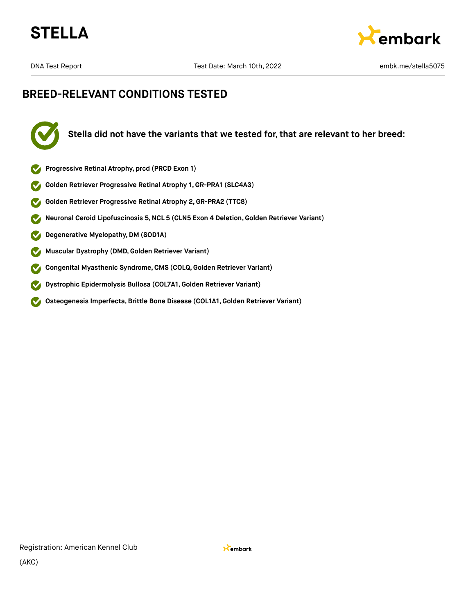



### **BREED-RELEVANT CONDITIONS TESTED**



**Stella did not have the variants that we tested for, that are relevant to her breed:**

- **Progressive Retinal Atrophy, prcd (PRCD Exon 1)**
- **Golden Retriever Progressive Retinal Atrophy 1, GR-PRA1 (SLC4A3)**
- **Golden Retriever Progressive Retinal Atrophy 2,GR-PRA2 (TTC8)**  $\blacktriangledown$
- **Neuronal Ceroid Lipofuscinosis 5,NCL 5 (CLN5 Exon 4 Deletion,Golden Retriever Variant)**  $\blacktriangledown$
- **Degenerative Myelopathy,DM (SOD1A)**  $\blacktriangledown$
- **Muscular Dystrophy (DMD,Golden Retriever Variant)**  $\blacktriangledown$
- **Congenital Myasthenic Syndrome,CMS (COLQ, Golden Retriever Variant)**  $\blacktriangledown$
- **Dystrophic Epidermolysis Bullosa (COL7A1,Golden Retriever Variant)**  $\boldsymbol{\mathcal{S}}$
- **Osteogenesis Imperfecta,Brittle Bone Disease (COL1A1,Golden Retriever Variant)**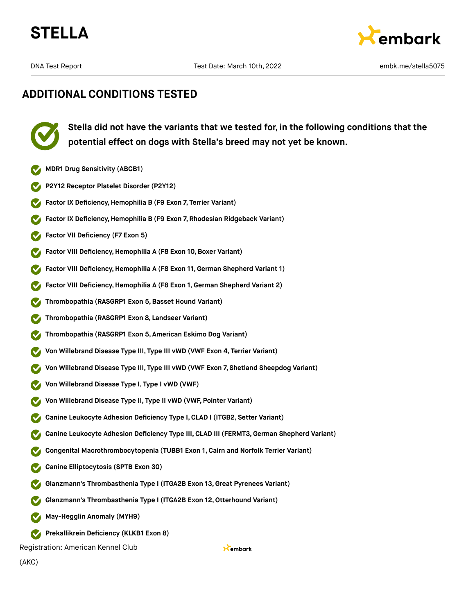



### **ADDITIONAL CONDITIONS TESTED**

**Stella did not have the variants that we tested for, in the following conditions that the potential effect on dogs with Stella's breed may not yet be known.**

- **MDR1 Drug Sensitivity (ABCB1)**
- **P2Y12 Receptor Platelet Disorder (P2Y12)**
- **Factor IX Deficiency, Hemophilia B (F9 Exon 7, Terrier Variant)**
- **Factor IX Deficiency,Hemophilia B (F9 Exon 7, Rhodesian Ridgeback Variant)**
- **Factor VII Deficiency (F7 Exon 5)**
- **Factor VIII Deficiency, Hemophilia A (F8 Exon 10, Boxer Variant)**
- **Factor VIII Deficiency,Hemophilia A (F8 Exon 11,German Shepherd Variant 1)**
- **Factor VIII Deficiency,Hemophilia A (F8 Exon 1, German Shepherd Variant 2)**
- **Thrombopathia (RASGRP1 Exon 5,Basset Hound Variant)**
- **Thrombopathia (RASGRP1 Exon 8, Landseer Variant)**
- **Thrombopathia (RASGRP1 Exon 5, American Eskimo Dog Variant)**
- **Von Willebrand Disease Type III, Type III vWD (VWF Exon 4, Terrier Variant)**
- **Von Willebrand Disease Type III, Type III vWD (VWF Exon 7, Shetland Sheepdog Variant)**
- **Von Willebrand Disease Type I, Type I vWD (VWF)**
- **Von Willebrand Disease Type II, Type II vWD (VWF, Pointer Variant)**
- **Canine Leukocyte Adhesion Deficiency Type I,CLAD I (ITGB2, Setter Variant)**
- **Canine Leukocyte Adhesion Deficiency Type III, CLAD III (FERMT3,German Shepherd Variant)**
- **Congenital Macrothrombocytopenia (TUBB1 Exon 1, Cairn and Norfolk Terrier Variant)**
- **Canine Elliptocytosis (SPTB Exon 30)**
- **Glanzmann's Thrombasthenia Type I (ITGA2B Exon 13,Great Pyrenees Variant)**
- **Glanzmann's Thrombasthenia Type I (ITGA2B Exon 12,Otterhound Variant)**
- **May-Hegglin Anomaly (MYH9)**
- **Prekallikrein Deficiency (KLKB1 Exon 8)**

Registration: American Kennel Club

Kembark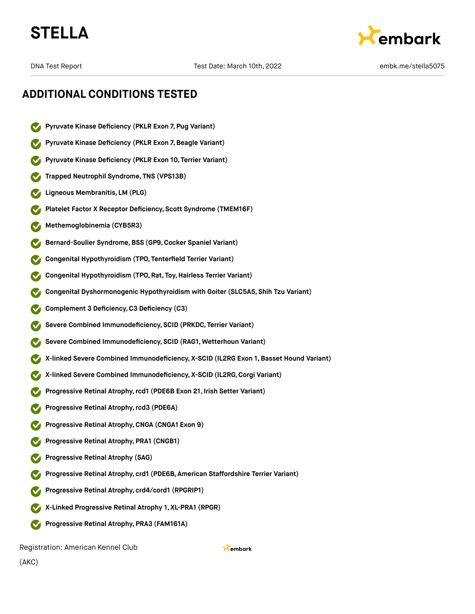



DNA Test Report Test Date: March 10th, 2022 and the market Report of the Stellas Proport of Test Date: March 10th, 2022

### **ADDITIONAL CONDITIONS TESTED**

- **Pyruvate Kinase Deficiency (PKLR Exon 7, Pug Variant)**
- **Pyruvate Kinase Deficiency (PKLR Exon 7,Beagle Variant)**
- **Pyruvate Kinase Deficiency (PKLR Exon 10, Terrier Variant)**
- **Trapped Neutrophil Syndrome, TNS (VPS13B)**
- **Ligneous Membranitis, LM (PLG)**
- **Platelet Factor X Receptor Deficiency, Scott Syndrome (TMEM16F)**
- **Methemoglobinemia (CYB5R3)**
- **Bernard-Soulier Syndrome,BSS (GP9,Cocker Spaniel Variant)**
- **Congenital Hypothyroidism (TPO, Tenterfield Terrier Variant)**
- **Congenital Hypothyroidism (TPO, Rat, Toy,Hairless Terrier Variant)**
- **Congenital Dyshormonogenic Hypothyroidism with Goiter (SLC5A5, Shih Tzu Variant)**
- **Complement 3 Deficiency,C3 Deficiency (C3)**
- **Severe Combined Immunodeficiency, SCID (PRKDC, Terrier Variant)**
- **Severe Combined Immunodeficiency, SCID (RAG1, Wetterhoun Variant)**
- **X-linked Severe Combined Immunodeficiency, X-SCID (IL2RG Exon 1, Basset Hound Variant)**
- **X-linked Severe Combined Immunodeficiency, X-SCID (IL2RG,Corgi Variant)**
- **Progressive Retinal Atrophy,rcd1 (PDE6B Exon 21, Irish Setter Variant)**
- **Progressive Retinal Atrophy,rcd3 (PDE6A)**
- **Progressive Retinal Atrophy,CNGA (CNGA1 Exon 9)**
- **Progressive Retinal Atrophy, PRA1 (CNGB1)**
- **Progressive Retinal Atrophy (SAG)**
- **Progressive Retinal Atrophy, crd1 (PDE6B, American Staffordshire Terrier Variant)**
- **Progressive Retinal Atrophy, crd4/cord1 (RPGRIP1)**
- **X-Linked Progressive Retinal Atrophy 1, XL-PRA1 (RPGR)**
- **Progressive Retinal Atrophy, PRA3 (FAM161A)**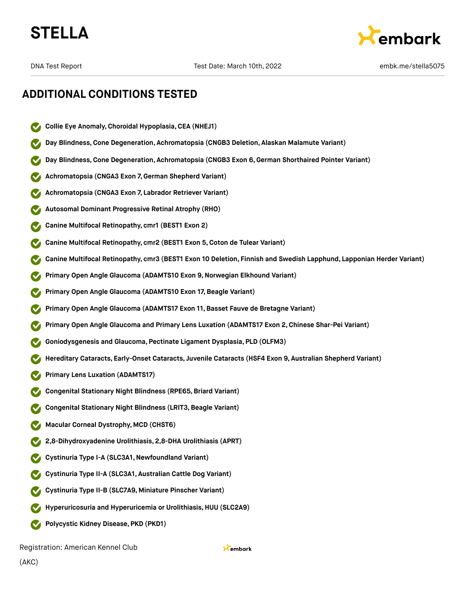



DNA Test Report Test Date: March 10th, 2022 and the market Report of the Stellas Proport of Test Date: March 10th, 2022

### **ADDITIONAL CONDITIONS TESTED**

- **Collie Eye Anomaly,Choroidal Hypoplasia,CEA (NHEJ1)**
- **Day Blindness,Cone Degeneration, Achromatopsia (CNGB3 Deletion, Alaskan Malamute Variant)**
- **Day Blindness,Cone Degeneration, Achromatopsia (CNGB3 Exon 6,German Shorthaired Pointer Variant)**
- **Achromatopsia (CNGA3 Exon 7,German Shepherd Variant)**
- **Achromatopsia (CNGA3 Exon 7, Labrador Retriever Variant)**
- **Autosomal Dominant Progressive Retinal Atrophy (RHO)**
- **Canine Multifocal Retinopathy, cmr1 (BEST1 Exon 2)**
- **Canine Multifocal Retinopathy, cmr2 (BEST1 Exon 5,Coton de Tulear Variant)**
- **Canine Multifocal Retinopathy, cmr3 (BEST1 Exon 10 Deletion, Finnish and Swedish Lapphund, Lapponian Herder Variant)**
- **Primary Open Angle Glaucoma (ADAMTS10 Exon 9,Norwegian Elkhound Variant)**
- **Primary Open Angle Glaucoma (ADAMTS10 Exon 17, Beagle Variant)**
- **Primary Open Angle Glaucoma (ADAMTS17 Exon 11,Basset Fauve de Bretagne Variant)**
- **Primary Open Angle Glaucoma and Primary Lens Luxation (ADAMTS17 Exon 2,Chinese Shar-Pei Variant)**
- **Goniodysgenesis and Glaucoma, Pectinate Ligament Dysplasia, PLD (OLFM3)**
- **Hereditary Cataracts, Early-Onset Cataracts, Juvenile Cataracts (HSF4 Exon 9, Australian Shepherd Variant)**
- **Primary Lens Luxation (ADAMTS17)**
- **Congenital Stationary Night Blindness (RPE65,Briard Variant)**
- **Congenital Stationary Night Blindness (LRIT3,Beagle Variant)**
- **Macular Corneal Dystrophy, MCD (CHST6)**
- **2,8-Dihydroxyadenine Urolithiasis, 2,8-DHA Urolithiasis (APRT)**
- **Cystinuria Type I-A (SLC3A1,Newfoundland Variant)**
- **Cystinuria Type II-A (SLC3A1, Australian Cattle Dog Variant)**
- **Cystinuria Type II-B (SLC7A9, Miniature Pinscher Variant)**
- **Hyperuricosuria and Hyperuricemia or Urolithiasis, HUU (SLC2A9)**
- **Polycystic Kidney Disease, PKD (PKD1)**

Registration: American Kennel Club

Kembark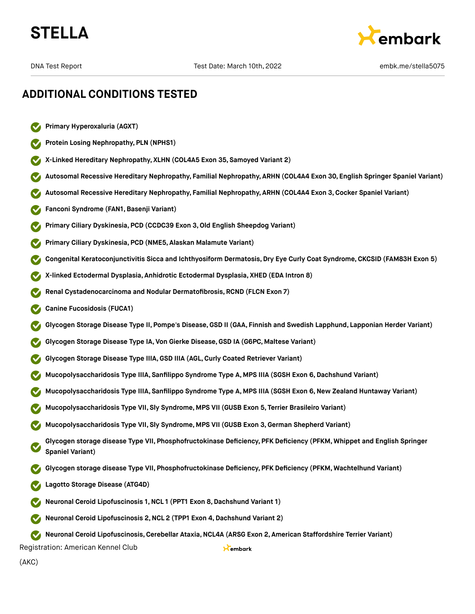



### **ADDITIONAL CONDITIONS TESTED**

- **Primary Hyperoxaluria (AGXT)**
- **Protein Losing Nephropathy, PLN (NPHS1)**
- **X-Linked Hereditary Nephropathy, XLHN (COL4A5 Exon 35, Samoyed Variant 2)**
- **Autosomal Recessive Hereditary Nephropathy, Familial Nephropathy, ARHN (COL4A4 Exon 30, English Springer Spaniel Variant)**
- **Autosomal Recessive Hereditary Nephropathy, Familial Nephropathy, ARHN (COL4A4 Exon 3,Cocker Spaniel Variant)**
- **Fanconi Syndrome (FAN1,Basenji Variant)**
- **Primary Ciliary Dyskinesia, PCD (CCDC39 Exon 3,Old English Sheepdog Variant)**
- **Primary Ciliary Dyskinesia, PCD (NME5, Alaskan Malamute Variant)**
- **Congenital Keratoconjunctivitis Sicca and Ichthyosiform Dermatosis, Dry Eye Curly Coat Syndrome, CKCSID (FAM83H Exon 5)**
- **X-linked Ectodermal Dysplasia, Anhidrotic Ectodermal Dysplasia, XHED (EDA Intron 8)**
- **Renal Cystadenocarcinoma and Nodular Dermatofibrosis, RCND (FLCN Exon 7)**
- **Canine Fucosidosis (FUCA1)**
- **Glycogen Storage Disease Type II, Pompe's Disease,GSD II (GAA, Finnish and Swedish Lapphund, Lapponian Herder Variant)**
- **Glycogen Storage Disease Type IA, Von Gierke Disease,GSD IA (G6PC, Maltese Variant)**
- **Glycogen Storage Disease Type IIIA,GSD IIIA (AGL,Curly Coated Retriever Variant)**
- **Mucopolysaccharidosis Type IIIA, Sanfilippo Syndrome Type A, MPS IIIA (SGSH Exon 6,Dachshund Variant)**
- **Mucopolysaccharidosis Type IIIA, Sanfilippo Syndrome Type A, MPS IIIA (SGSH Exon 6,New Zealand Huntaway Variant)**
- **Mucopolysaccharidosis Type VII, Sly Syndrome, MPS VII (GUSB Exon 5, Terrier Brasileiro Variant)**
- **Mucopolysaccharidosis Type VII, Sly Syndrome, MPS VII (GUSB Exon 3,German Shepherd Variant)**
- **Glycogen storage disease Type VII, Phosphofructokinase Deficiency, PFK Deficiency (PFKM, Whippet and English Springer Spaniel Variant)**
- **Glycogen storage disease Type VII, Phosphofructokinase Deficiency, PFK Deficiency (PFKM, Wachtelhund Variant)**
- **Lagotto Storage Disease (ATG4D)**
- **Neuronal Ceroid Lipofuscinosis 1,NCL 1 (PPT1 Exon 8,Dachshund Variant 1)**
- **Neuronal Ceroid Lipofuscinosis 2,NCL 2 (TPP1 Exon 4,Dachshund Variant 2)**

**Neuronal Ceroid Lipofuscinosis,Cerebellar Ataxia,NCL4A (ARSG Exon 2, American Staffordshire Terrier Variant)**

Kembark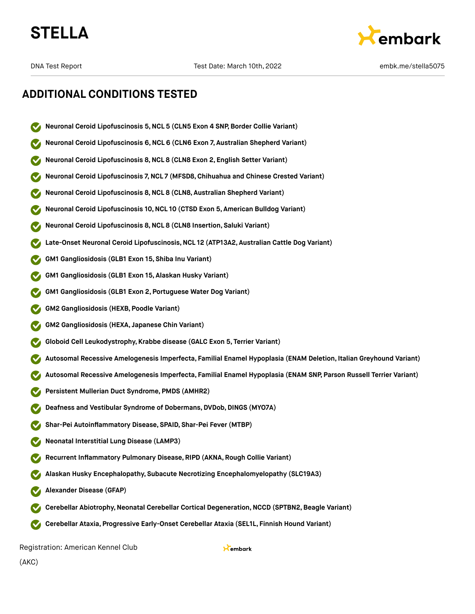



### **ADDITIONAL CONDITIONS TESTED**

- **Neuronal Ceroid Lipofuscinosis 5,NCL 5 (CLN5 Exon 4 SNP, Border Collie Variant)**
- **Neuronal Ceroid Lipofuscinosis 6,NCL 6 (CLN6 Exon 7, Australian Shepherd Variant)**
- **Neuronal Ceroid Lipofuscinosis 8,NCL 8 (CLN8 Exon 2, English Setter Variant)**
- **Neuronal Ceroid Lipofuscinosis 7,NCL 7 (MFSD8,Chihuahua and Chinese Crested Variant)**
- **Neuronal Ceroid Lipofuscinosis 8,NCL 8 (CLN8, Australian Shepherd Variant)**
- **Neuronal Ceroid Lipofuscinosis 10,NCL 10 (CTSD Exon 5, American Bulldog Variant)**
- **Neuronal Ceroid Lipofuscinosis 8,NCL 8 (CLN8 Insertion, Saluki Variant)**
- **Late-Onset Neuronal Ceroid Lipofuscinosis,NCL 12 (ATP13A2, Australian Cattle Dog Variant)**
- **GM1 Gangliosidosis (GLB1 Exon 15, Shiba Inu Variant)**
- **GM1 Gangliosidosis (GLB1 Exon 15, Alaskan Husky Variant)**
- **GM1 Gangliosidosis (GLB1 Exon 2, Portuguese Water Dog Variant)**
- **GM2 Gangliosidosis (HEXB, Poodle Variant)**
- **GM2 Gangliosidosis (HEXA, Japanese Chin Variant)**
- **Globoid Cell Leukodystrophy, Krabbe disease (GALC Exon 5, Terrier Variant)**
- **Autosomal Recessive Amelogenesis Imperfecta, Familial Enamel Hypoplasia (ENAM Deletion, Italian Greyhound Variant)**
- **Autosomal Recessive Amelogenesis Imperfecta, Familial Enamel Hypoplasia (ENAM SNP, Parson Russell Terrier Variant)**
- **Persistent Mullerian Duct Syndrome, PMDS (AMHR2)**
- **Deafness and Vestibular Syndrome of Dobermans, DVDob, DINGS (MYO7A)**
- **Shar-Pei Autoinflammatory Disease, SPAID, Shar-Pei Fever (MTBP)**
- **Neonatal Interstitial Lung Disease (LAMP3)**
- **Recurrent Inflammatory Pulmonary Disease, RIPD (AKNA, Rough Collie Variant)**
- **Alaskan Husky Encephalopathy, Subacute Necrotizing Encephalomyelopathy (SLC19A3)**
- **Alexander Disease (GFAP)**
- **Cerebellar Abiotrophy,Neonatal Cerebellar Cortical Degeneration,NCCD (SPTBN2,Beagle Variant)**
- **Cerebellar Ataxia, Progressive Early-Onset Cerebellar Ataxia (SEL1L, Finnish Hound Variant)**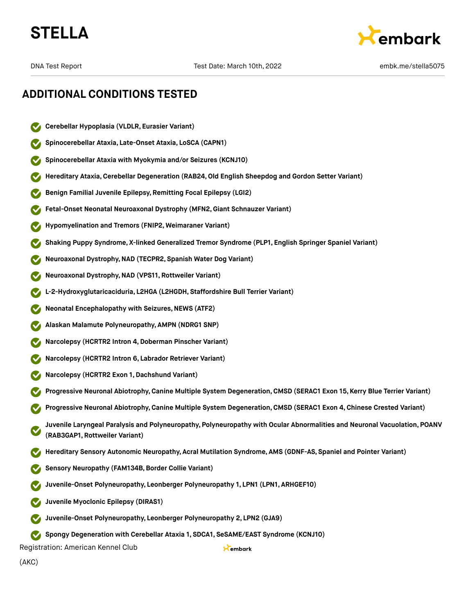



### **ADDITIONAL CONDITIONS TESTED**

- **Cerebellar Hypoplasia (VLDLR, Eurasier Variant)**
- **Spinocerebellar Ataxia, Late-Onset Ataxia, LoSCA (CAPN1)**
- **Spinocerebellar Ataxia with Myokymia and/or Seizures (KCNJ10)**
- **Hereditary Ataxia,Cerebellar Degeneration (RAB24,Old English Sheepdog and Gordon Setter Variant)**
- **Benign Familial Juvenile Epilepsy, Remitting Focal Epilepsy (LGI2)**
- **Fetal-Onset Neonatal Neuroaxonal Dystrophy (MFN2,Giant Schnauzer Variant)**
- **Hypomyelination and Tremors (FNIP2, Weimaraner Variant)**
- **Shaking Puppy Syndrome, X-linked Generalized Tremor Syndrome (PLP1, English Springer Spaniel Variant)**
- **Neuroaxonal Dystrophy,NAD (TECPR2, Spanish Water Dog Variant)**
- **Neuroaxonal Dystrophy,NAD (VPS11, Rottweiler Variant)**
- **L-2-Hydroxyglutaricaciduria, L2HGA (L2HGDH, Staffordshire Bull Terrier Variant)**
- **Neonatal Encephalopathy with Seizures, NEWS (ATF2)**
- **Alaskan Malamute Polyneuropathy, AMPN (NDRG1 SNP)**
- **Narcolepsy (HCRTR2 Intron 4,Doberman Pinscher Variant)**
- **Narcolepsy (HCRTR2 Intron 6, Labrador Retriever Variant)**
- **Narcolepsy (HCRTR2 Exon 1,Dachshund Variant)**
- **Progressive Neuronal Abiotrophy,Canine Multiple System Degeneration,CMSD (SERAC1 Exon 15, Kerry Blue Terrier Variant)**
- **Progressive Neuronal Abiotrophy,Canine Multiple System Degeneration,CMSD (SERAC1 Exon 4, Chinese Crested Variant)**
- **Juvenile Laryngeal Paralysis and Polyneuropathy, Polyneuropathy with Ocular Abnormalities and Neuronal Vacuolation, POANV (RAB3GAP1, Rottweiler Variant)**

Kembark

- **Hereditary Sensory Autonomic Neuropathy, Acral Mutilation Syndrome, AMS (GDNF-AS, Spaniel and Pointer Variant)**
- **Sensory Neuropathy (FAM134B,Border Collie Variant)**
- **Juvenile-Onset Polyneuropathy, Leonberger Polyneuropathy 1, LPN1 (LPN1, ARHGEF10)**
- **Juvenile Myoclonic Epilepsy (DIRAS1)**
- **Juvenile-Onset Polyneuropathy, Leonberger Polyneuropathy 2, LPN2 (GJA9)**
- **Spongy Degeneration with Cerebellar Ataxia 1, SDCA1, SeSAME/EAST Syndrome (KCNJ10)**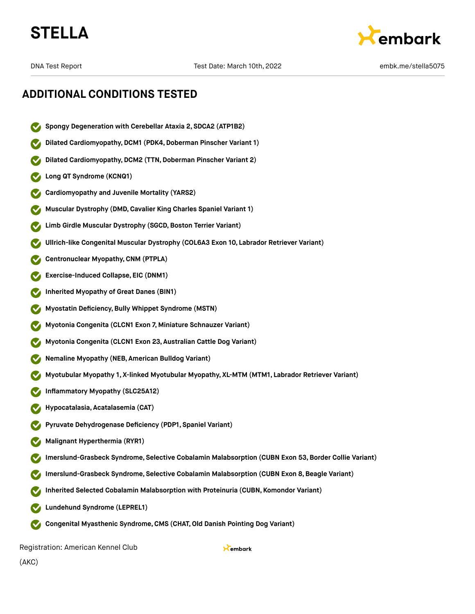



DNA Test Report Test Date: March 10th, 2022 and the market Report of the Stellas Proport of Test Date: March 10th, 2022

### **ADDITIONAL CONDITIONS TESTED**

- **Spongy Degeneration with Cerebellar Ataxia 2, SDCA2 (ATP1B2)**
- **Dilated Cardiomyopathy,DCM1 (PDK4,Doberman Pinscher Variant 1)**
- **Dilated Cardiomyopathy, DCM2 (TTN, Doberman Pinscher Variant 2)**
- **Long QT Syndrome (KCNQ1)**
- **Cardiomyopathy and Juvenile Mortality (YARS2)**
- **Muscular Dystrophy (DMD,Cavalier King Charles Spaniel Variant 1)**
- **Limb Girdle Muscular Dystrophy (SGCD,Boston Terrier Variant)**
- **Ullrich-like Congenital Muscular Dystrophy (COL6A3 Exon 10, Labrador Retriever Variant)**
- **Centronuclear Myopathy,CNM (PTPLA)**
- **Exercise-Induced Collapse, EIC (DNM1)**
- **Inherited Myopathy of Great Danes (BIN1)**
- **Myostatin Deficiency,Bully Whippet Syndrome (MSTN)**
- **Myotonia Congenita (CLCN1 Exon 7, Miniature Schnauzer Variant)**
- **Myotonia Congenita (CLCN1 Exon 23, Australian Cattle Dog Variant)**
- **Nemaline Myopathy (NEB, American Bulldog Variant)**
- **Myotubular Myopathy 1, X-linked Myotubular Myopathy, XL-MTM (MTM1, Labrador Retriever Variant)**
- **Inflammatory Myopathy (SLC25A12)**
- **Hypocatalasia, Acatalasemia (CAT)**
- **Pyruvate Dehydrogenase Deficiency (PDP1, Spaniel Variant)**
- **Malignant Hyperthermia (RYR1)**
- **Imerslund-Grasbeck Syndrome, Selective Cobalamin Malabsorption (CUBN Exon 53,Border Collie Variant)**
- **Imerslund-Grasbeck Syndrome, Selective Cobalamin Malabsorption (CUBN Exon 8,Beagle Variant)**
- **Inherited Selected Cobalamin Malabsorption with Proteinuria (CUBN, Komondor Variant)**
- **Lundehund Syndrome (LEPREL1)**
- **Congenital Myasthenic Syndrome,CMS (CHAT,Old Danish Pointing Dog Variant)**  $\sim$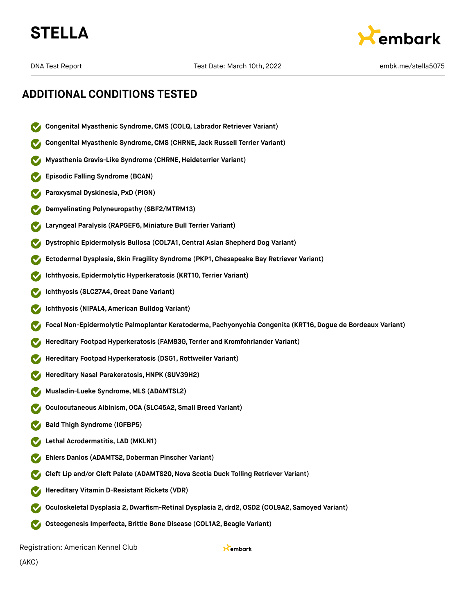



### **ADDITIONAL CONDITIONS TESTED**

- **Congenital Myasthenic Syndrome,CMS (COLQ, Labrador Retriever Variant)**
- **Congenital Myasthenic Syndrome,CMS (CHRNE, Jack Russell Terrier Variant)**
- **Myasthenia Gravis-Like Syndrome (CHRNE,Heideterrier Variant)**
- **Episodic Falling Syndrome (BCAN)**
- **Paroxysmal Dyskinesia, PxD (PIGN)**
- **Demyelinating Polyneuropathy (SBF2/MTRM13)**
- **Laryngeal Paralysis (RAPGEF6, Miniature Bull Terrier Variant)**
- **Dystrophic Epidermolysis Bullosa (COL7A1,Central Asian Shepherd Dog Variant)**
- **Ectodermal Dysplasia, Skin Fragility Syndrome (PKP1, Chesapeake Bay Retriever Variant)**
- **Ichthyosis, Epidermolytic Hyperkeratosis (KRT10, Terrier Variant)**
- **Ichthyosis (SLC27A4,Great Dane Variant)**
- **Ichthyosis (NIPAL4, American Bulldog Variant)**
- **Focal Non-Epidermolytic Palmoplantar Keratoderma, Pachyonychia Congenita (KRT16,Dogue de Bordeaux Variant)**
- **Hereditary Footpad Hyperkeratosis (FAM83G, Terrier and Kromfohrlander Variant)**
- **Hereditary Footpad Hyperkeratosis (DSG1, Rottweiler Variant)**
- **Hereditary Nasal Parakeratosis,HNPK (SUV39H2)**
- **Musladin-Lueke Syndrome, MLS (ADAMTSL2)**
- **Oculocutaneous Albinism,OCA (SLC45A2, Small Breed Variant)**
- **Bald Thigh Syndrome (IGFBP5)**
- **Lethal Acrodermatitis, LAD (MKLN1)**
- **Ehlers Danlos (ADAMTS2, Doberman Pinscher Variant)**
- **Cleft Lip and/or Cleft Palate (ADAMTS20,Nova Scotia Duck Tolling Retriever Variant)**
- **Hereditary Vitamin D-Resistant Rickets (VDR)**
- **Oculoskeletal Dysplasia 2,Dwarfism-Retinal Dysplasia 2, drd2,OSD2 (COL9A2, Samoyed Variant)**
- **Osteogenesis Imperfecta,Brittle Bone Disease (COL1A2,Beagle Variant)**  $\sim$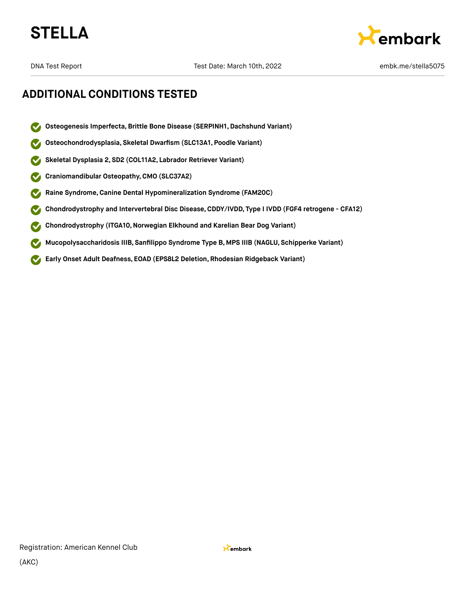



### **ADDITIONAL CONDITIONS TESTED**

- **Osteogenesis Imperfecta,Brittle Bone Disease (SERPINH1, Dachshund Variant)**  $\boldsymbol{\sigma}$
- **Osteochondrodysplasia, Skeletal Dwarfism (SLC13A1, Poodle Variant)**  $\blacktriangledown$
- **Skeletal Dysplasia 2, SD2 (COL11A2, Labrador Retriever Variant)**  $\blacktriangledown$
- **Craniomandibular Osteopathy,CMO (SLC37A2)**  $\blacktriangledown$
- **Raine Syndrome,Canine Dental Hypomineralization Syndrome (FAM20C)**  $\blacktriangledown$
- **Chondrodystrophy and Intervertebral Disc Disease,CDDY/IVDD, Type I IVDD (FGF4 retrogene CFA12)**  $\checkmark$
- **Chondrodystrophy (ITGA10,Norwegian Elkhound and Karelian Bear Dog Variant)**  $\blacktriangledown$
- **Mucopolysaccharidosis IIIB, Sanfilippo Syndrome Type B, MPS IIIB (NAGLU, Schipperke Variant)**  $\blacktriangledown$
- **Early Onset Adult Deafness, EOAD (EPS8L2 Deletion, Rhodesian Ridgeback Variant)**  $\blacktriangledown$